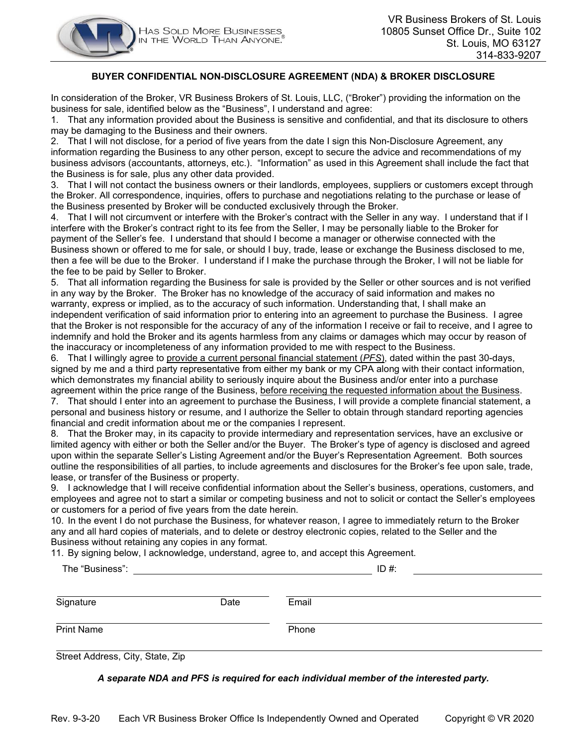

#### **BUYER CONFIDENTIAL NON-DISCLOSURE AGREEMENT (NDA) & BROKER DISCLOSURE**

In consideration of the Broker, VR Business Brokers of St. Louis, LLC, ("Broker") providing the information on the business for sale, identified below as the "Business", I understand and agree:

1. That any information provided about the Business is sensitive and confidential, and that its disclosure to others may be damaging to the Business and their owners.

2. That I will not disclose, for a period of five years from the date I sign this Non-Disclosure Agreement, any information regarding the Business to any other person, except to secure the advice and recommendations of my business advisors (accountants, attorneys, etc.). "Information" as used in this Agreement shall include the fact that the Business is for sale, plus any other data provided.

3. That I will not contact the business owners or their landlords, employees, suppliers or customers except through the Broker. All correspondence, inquiries, offers to purchase and negotiations relating to the purchase or lease of the Business presented by Broker will be conducted exclusively through the Broker.

4. That I will not circumvent or interfere with the Broker's contract with the Seller in any way. I understand that if I interfere with the Broker's contract right to its fee from the Seller, I may be personally liable to the Broker for payment of the Seller's fee. I understand that should I become a manager or otherwise connected with the Business shown or offered to me for sale, or should I buy, trade, lease or exchange the Business disclosed to me, then a fee will be due to the Broker. I understand if I make the purchase through the Broker, I will not be liable for the fee to be paid by Seller to Broker.

5. That all information regarding the Business for sale is provided by the Seller or other sources and is not verified in any way by the Broker. The Broker has no knowledge of the accuracy of said information and makes no warranty, express or implied, as to the accuracy of such information. Understanding that, I shall make an independent verification of said information prior to entering into an agreement to purchase the Business. I agree that the Broker is not responsible for the accuracy of any of the information I receive or fail to receive, and I agree to indemnify and hold the Broker and its agents harmless from any claims or damages which may occur by reason of the inaccuracy or incompleteness of any information provided to me with respect to the Business.

6. That I willingly agree to provide a current personal financial statement (*PFS*), dated within the past 30-days, signed by me and a third party representative from either my bank or my CPA along with their contact information, which demonstrates my financial ability to seriously inquire about the Business and/or enter into a purchase agreement within the price range of the Business, before receiving the requested information about the Business.

7. That should I enter into an agreement to purchase the Business, I will provide a complete financial statement, a personal and business history or resume, and I authorize the Seller to obtain through standard reporting agencies financial and credit information about me or the companies I represent.

8. That the Broker may, in its capacity to provide intermediary and representation services, have an exclusive or limited agency with either or both the Seller and/or the Buyer. The Broker's type of agency is disclosed and agreed upon within the separate Seller's Listing Agreement and/or the Buyer's Representation Agreement. Both sources outline the responsibilities of all parties, to include agreements and disclosures for the Broker's fee upon sale, trade, lease, or transfer of the Business or property.

9. I acknowledge that I will receive confidential information about the Seller's business, operations, customers, and employees and agree not to start a similar or competing business and not to solicit or contact the Seller's employees or customers for a period of five years from the date herein.

10. In the event I do not purchase the Business, for whatever reason, I agree to immediately return to the Broker any and all hard copies of materials, and to delete or destroy electronic copies, related to the Seller and the Business without retaining any copies in any format.

11. By signing below, I acknowledge, understand, agree to, and accept this Agreement.

| The "Business":   |      |       | $ID#$ : |  |
|-------------------|------|-------|---------|--|
| Signature         | Date | Email |         |  |
| <b>Print Name</b> |      | Phone |         |  |

Street Address, City, State, Zip

*A separate NDA and PFS is required for each individual member of the interested party.*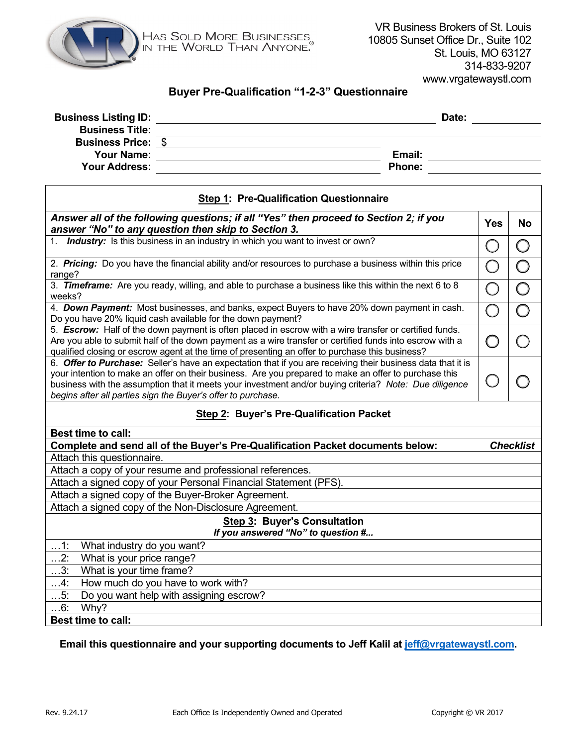

# **Buyer Pre-Qualification "1-2-3" Questionnaire**

| <b>Business Listing ID:</b> |               | Date: |
|-----------------------------|---------------|-------|
| <b>Business Title:</b>      |               |       |
| <b>Business Price: \$</b>   |               |       |
| <b>Your Name:</b>           | Email:        |       |
| <b>Your Address:</b>        | <b>Phone:</b> |       |

| <b>Step 1: Pre-Qualification Questionnaire</b>                                                                                                                                                                                                                                                                                                                                                 |   |                  |  |  |
|------------------------------------------------------------------------------------------------------------------------------------------------------------------------------------------------------------------------------------------------------------------------------------------------------------------------------------------------------------------------------------------------|---|------------------|--|--|
| Answer all of the following questions; if all "Yes" then proceed to Section 2; if you<br>answer "No" to any question then skip to Section 3.                                                                                                                                                                                                                                                   |   |                  |  |  |
| 1. <b>Industry:</b> Is this business in an industry in which you want to invest or own?                                                                                                                                                                                                                                                                                                        | ( | $\bigcirc$       |  |  |
| 2. Pricing: Do you have the financial ability and/or resources to purchase a business within this price<br>range?                                                                                                                                                                                                                                                                              |   |                  |  |  |
| 3. Timeframe: Are you ready, willing, and able to purchase a business like this within the next 6 to 8<br>weeks?                                                                                                                                                                                                                                                                               |   |                  |  |  |
| 4. Down Payment: Most businesses, and banks, expect Buyers to have 20% down payment in cash.<br>Do you have 20% liquid cash available for the down payment?                                                                                                                                                                                                                                    |   |                  |  |  |
| 5. Escrow: Half of the down payment is often placed in escrow with a wire transfer or certified funds.<br>Are you able to submit half of the down payment as a wire transfer or certified funds into escrow with a<br>qualified closing or escrow agent at the time of presenting an offer to purchase this business?                                                                          |   |                  |  |  |
| 6. Offer to Purchase: Seller's have an expectation that if you are receiving their business data that it is<br>your intention to make an offer on their business. Are you prepared to make an offer to purchase this<br>business with the assumption that it meets your investment and/or buying criteria? Note: Due diligence<br>begins after all parties sign the Buyer's offer to purchase. |   |                  |  |  |
| Step 2: Buyer's Pre-Qualification Packet                                                                                                                                                                                                                                                                                                                                                       |   |                  |  |  |
| <b>Best time to call:</b>                                                                                                                                                                                                                                                                                                                                                                      |   |                  |  |  |
| Complete and send all of the Buyer's Pre-Qualification Packet documents below:                                                                                                                                                                                                                                                                                                                 |   | <b>Checklist</b> |  |  |
| Attach this questionnaire.                                                                                                                                                                                                                                                                                                                                                                     |   |                  |  |  |
| Attach a copy of your resume and professional references.                                                                                                                                                                                                                                                                                                                                      |   |                  |  |  |
| Attach a signed copy of your Personal Financial Statement (PFS).<br>Attach a signed copy of the Buyer-Broker Agreement.                                                                                                                                                                                                                                                                        |   |                  |  |  |
| Attach a signed copy of the Non-Disclosure Agreement.                                                                                                                                                                                                                                                                                                                                          |   |                  |  |  |
| <b>Step 3: Buyer's Consultation</b>                                                                                                                                                                                                                                                                                                                                                            |   |                  |  |  |
| If you answered "No" to question #                                                                                                                                                                                                                                                                                                                                                             |   |                  |  |  |
| $\dots$ 1:<br>What industry do you want?                                                                                                                                                                                                                                                                                                                                                       |   |                  |  |  |
| $\ldots$ 2:<br>What is your price range?                                                                                                                                                                                                                                                                                                                                                       |   |                  |  |  |
| 3:<br>What is your time frame?                                                                                                                                                                                                                                                                                                                                                                 |   |                  |  |  |
| How much do you have to work with?<br>$\ldots$ 4:                                                                                                                                                                                                                                                                                                                                              |   |                  |  |  |
| Do you want help with assigning escrow?<br>$\ldots$ 5:                                                                                                                                                                                                                                                                                                                                         |   |                  |  |  |
| 6:<br>Why?                                                                                                                                                                                                                                                                                                                                                                                     |   |                  |  |  |
| <b>Best time to call:</b>                                                                                                                                                                                                                                                                                                                                                                      |   |                  |  |  |

# **Email this questionnaire and your supporting documents to Jeff Kalil at [jeff@vrgatewaystl.com.](mailto:jeff@vrgatewaystl.com)**